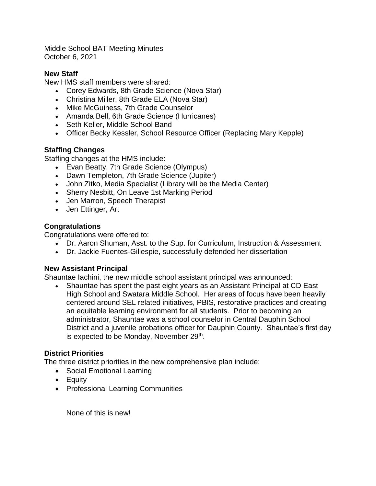Middle School BAT Meeting Minutes October 6, 2021

### **New Staff**

New HMS staff members were shared:

- Corey Edwards, 8th Grade Science (Nova Star)
- Christina Miller, 8th Grade ELA (Nova Star)
- Mike McGuiness, 7th Grade Counselor
- Amanda Bell, 6th Grade Science (Hurricanes)
- Seth Keller, Middle School Band
- Officer Becky Kessler, School Resource Officer (Replacing Mary Kepple)

# **Staffing Changes**

Staffing changes at the HMS include:

- Evan Beatty, 7th Grade Science (Olympus)
- Dawn Templeton, 7th Grade Science (Jupiter)
- John Zitko, Media Specialist (Library will be the Media Center)
- Sherry Nesbitt, On Leave 1st Marking Period
- Jen Marron, Speech Therapist
- Jen Ettinger, Art

## **Congratulations**

Congratulations were offered to:

- Dr. Aaron Shuman, Asst. to the Sup. for Curriculum, Instruction & Assessment
- Dr. Jackie Fuentes-Gillespie, successfully defended her dissertation

# **New Assistant Principal**

Shauntae Iachini, the new middle school assistant principal was announced:

• Shauntae has spent the past eight years as an Assistant Principal at CD East High School and Swatara Middle School. Her areas of focus have been heavily centered around SEL related initiatives, PBIS, restorative practices and creating an equitable learning environment for all students. Prior to becoming an administrator, Shauntae was a school counselor in Central Dauphin School District and a juvenile probations officer for Dauphin County. Shauntae's first day is expected to be Monday, November 29<sup>th</sup>.

# **District Priorities**

The three district priorities in the new comprehensive plan include:

- Social Emotional Learning
- Equity
- Professional Learning Communities

None of this is new!